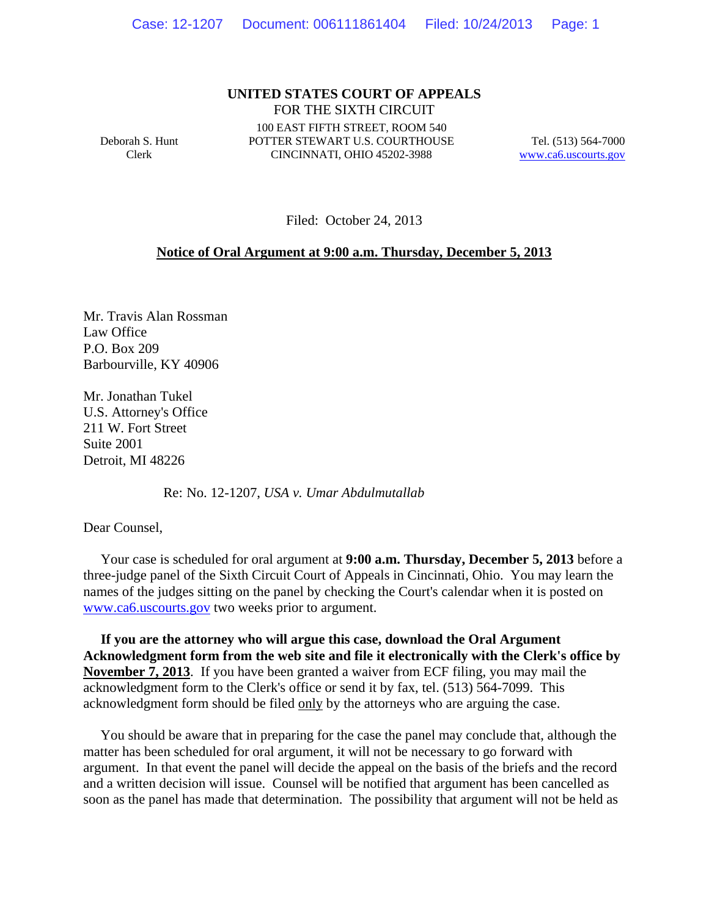## **UNITED STATES COURT OF APPEALS** FOR THE SIXTH CIRCUIT

Deborah S. Hunt Clerk

100 EAST FIFTH STREET, ROOM 540 POTTER STEWART U.S. COURTHOUSE CINCINNATI, OHIO 45202-3988

Tel. (513) 564-7000 www.ca6.uscourts.gov

Filed: October 24, 2013

## **Notice of Oral Argument at 9:00 a.m. Thursday, December 5, 2013**

Mr. Travis Alan Rossman Law Office P.O. Box 209 Barbourville, KY 40906

Mr. Jonathan Tukel U.S. Attorney's Office 211 W. Fort Street Suite 2001 Detroit, MI 48226

Re: No. 12-1207, *USA v. Umar Abdulmutallab*

Dear Counsel,

 Your case is scheduled for oral argument at **9:00 a.m. Thursday, December 5, 2013** before a three-judge panel of the Sixth Circuit Court of Appeals in Cincinnati, Ohio. You may learn the names of the judges sitting on the panel by checking the Court's calendar when it is posted on www.ca6.uscourts.gov two weeks prior to argument.

 **If you are the attorney who will argue this case, download the Oral Argument Acknowledgment form from the web site and file it electronically with the Clerk's office by November 7, 2013**. If you have been granted a waiver from ECF filing, you may mail the acknowledgment form to the Clerk's office or send it by fax, tel. (513) 564-7099. This acknowledgment form should be filed only by the attorneys who are arguing the case.

 You should be aware that in preparing for the case the panel may conclude that, although the matter has been scheduled for oral argument, it will not be necessary to go forward with argument. In that event the panel will decide the appeal on the basis of the briefs and the record and a written decision will issue. Counsel will be notified that argument has been cancelled as soon as the panel has made that determination. The possibility that argument will not be held as